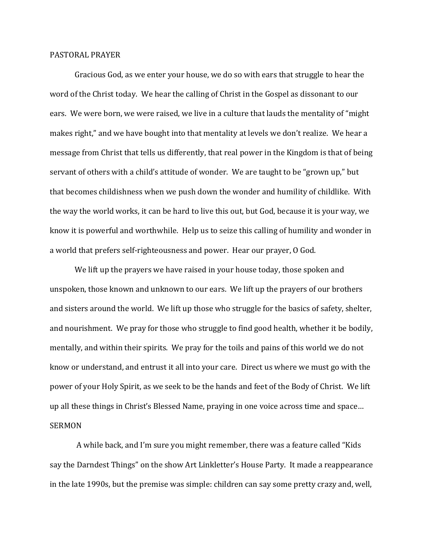## PASTORAL PRAYER

Gracious God, as we enter your house, we do so with ears that struggle to hear the word of the Christ today. We hear the calling of Christ in the Gospel as dissonant to our ears. We were born, we were raised, we live in a culture that lauds the mentality of "might makes right," and we have bought into that mentality at levels we don't realize. We hear a message from Christ that tells us differently, that real power in the Kingdom is that of being servant of others with a child's attitude of wonder. We are taught to be "grown up," but that becomes childishness when we push down the wonder and humility of childlike. With the way the world works, it can be hard to live this out, but God, because it is your way, we know it is powerful and worthwhile. Help us to seize this calling of humility and wonder in a world that prefers self-righteousness and power. Hear our prayer, O God.

We lift up the prayers we have raised in your house today, those spoken and unspoken, those known and unknown to our ears. We lift up the prayers of our brothers and sisters around the world. We lift up those who struggle for the basics of safety, shelter, and nourishment. We pray for those who struggle to find good health, whether it be bodily, mentally, and within their spirits. We pray for the toils and pains of this world we do not know or understand, and entrust it all into your care. Direct us where we must go with the power of your Holy Spirit, as we seek to be the hands and feet of the Body of Christ. We lift up all these things in Christ's Blessed Name, praying in one voice across time and space… SERMON

A while back, and I'm sure you might remember, there was a feature called "Kids say the Darndest Things" on the show Art Linkletter's House Party. It made a reappearance in the late 1990s, but the premise was simple: children can say some pretty crazy and, well,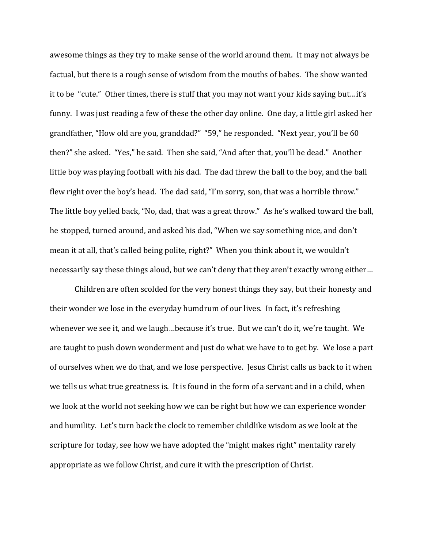awesome things as they try to make sense of the world around them. It may not always be factual, but there is a rough sense of wisdom from the mouths of babes. The show wanted it to be "cute." Other times, there is stuff that you may not want your kids saying but…it's funny. I was just reading a few of these the other day online. One day, a little girl asked her grandfather, "How old are you, granddad?" "59," he responded. "Next year, you'll be 60 then?" she asked. "Yes," he said. Then she said, "And after that, you'll be dead." Another little boy was playing football with his dad. The dad threw the ball to the boy, and the ball flew right over the boy's head. The dad said, "I'm sorry, son, that was a horrible throw." The little boy yelled back, "No, dad, that was a great throw." As he's walked toward the ball, he stopped, turned around, and asked his dad, "When we say something nice, and don't mean it at all, that's called being polite, right?" When you think about it, we wouldn't necessarily say these things aloud, but we can't deny that they aren't exactly wrong either…

Children are often scolded for the very honest things they say, but their honesty and their wonder we lose in the everyday humdrum of our lives. In fact, it's refreshing whenever we see it, and we laugh…because it's true. But we can't do it, we're taught. We are taught to push down wonderment and just do what we have to to get by. We lose a part of ourselves when we do that, and we lose perspective. Jesus Christ calls us back to it when we tells us what true greatness is. It is found in the form of a servant and in a child, when we look at the world not seeking how we can be right but how we can experience wonder and humility. Let's turn back the clock to remember childlike wisdom as we look at the scripture for today, see how we have adopted the "might makes right" mentality rarely appropriate as we follow Christ, and cure it with the prescription of Christ.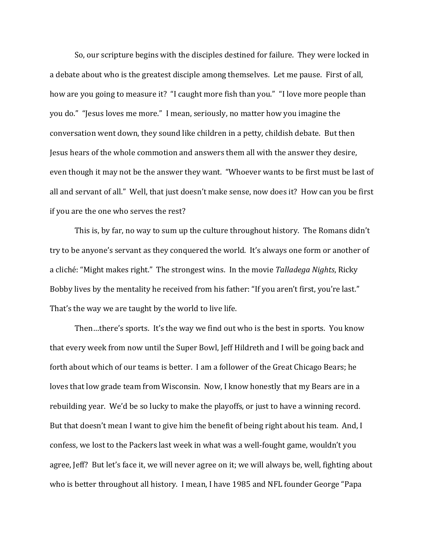So, our scripture begins with the disciples destined for failure. They were locked in a debate about who is the greatest disciple among themselves. Let me pause. First of all, how are you going to measure it? "I caught more fish than you." "I love more people than you do." "Jesus loves me more." I mean, seriously, no matter how you imagine the conversation went down, they sound like children in a petty, childish debate. But then Jesus hears of the whole commotion and answers them all with the answer they desire, even though it may not be the answer they want. "Whoever wants to be first must be last of all and servant of all." Well, that just doesn't make sense, now does it? How can you be first if you are the one who serves the rest?

This is, by far, no way to sum up the culture throughout history. The Romans didn't try to be anyone's servant as they conquered the world. It's always one form or another of a cliché: "Might makes right." The strongest wins. In the movie *Talladega Nights*, Ricky Bobby lives by the mentality he received from his father: "If you aren't first, you're last." That's the way we are taught by the world to live life.

Then…there's sports. It's the way we find out who is the best in sports. You know that every week from now until the Super Bowl, Jeff Hildreth and I will be going back and forth about which of our teams is better. I am a follower of the Great Chicago Bears; he loves that low grade team from Wisconsin. Now, I know honestly that my Bears are in a rebuilding year. We'd be so lucky to make the playoffs, or just to have a winning record. But that doesn't mean I want to give him the benefit of being right about his team. And, I confess, we lost to the Packers last week in what was a well-fought game, wouldn't you agree, Jeff? But let's face it, we will never agree on it; we will always be, well, fighting about who is better throughout all history. I mean, I have 1985 and NFL founder George "Papa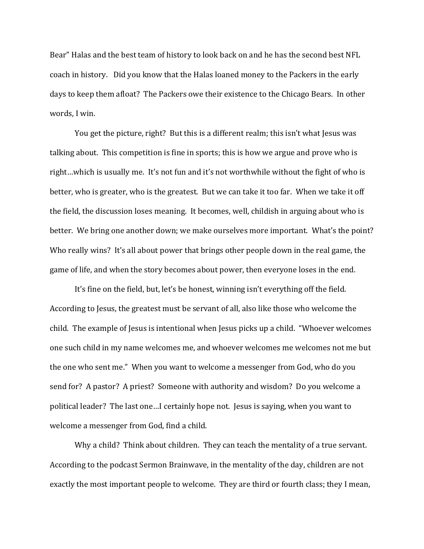Bear" Halas and the best team of history to look back on and he has the second best NFL coach in history. Did you know that the Halas loaned money to the Packers in the early days to keep them afloat? The Packers owe their existence to the Chicago Bears. In other words, I win.

You get the picture, right? But this is a different realm; this isn't what Jesus was talking about. This competition is fine in sports; this is how we argue and prove who is right…which is usually me. It's not fun and it's not worthwhile without the fight of who is better, who is greater, who is the greatest. But we can take it too far. When we take it off the field, the discussion loses meaning. It becomes, well, childish in arguing about who is better. We bring one another down; we make ourselves more important. What's the point? Who really wins? It's all about power that brings other people down in the real game, the game of life, and when the story becomes about power, then everyone loses in the end.

It's fine on the field, but, let's be honest, winning isn't everything off the field. According to Jesus, the greatest must be servant of all, also like those who welcome the child. The example of Jesus is intentional when Jesus picks up a child. "Whoever welcomes one such child in my name welcomes me, and whoever welcomes me welcomes not me but the one who sent me." When you want to welcome a messenger from God, who do you send for? A pastor? A priest? Someone with authority and wisdom? Do you welcome a political leader? The last one…I certainly hope not. Jesus is saying, when you want to welcome a messenger from God, find a child.

Why a child? Think about children. They can teach the mentality of a true servant. According to the podcast Sermon Brainwave, in the mentality of the day, children are not exactly the most important people to welcome. They are third or fourth class; they I mean,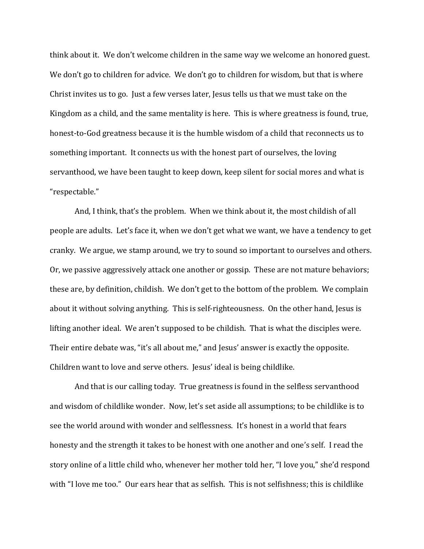think about it. We don't welcome children in the same way we welcome an honored guest. We don't go to children for advice. We don't go to children for wisdom, but that is where Christ invites us to go. Just a few verses later, Jesus tells us that we must take on the Kingdom as a child, and the same mentality is here. This is where greatness is found, true, honest-to-God greatness because it is the humble wisdom of a child that reconnects us to something important. It connects us with the honest part of ourselves, the loving servanthood, we have been taught to keep down, keep silent for social mores and what is "respectable."

And, I think, that's the problem. When we think about it, the most childish of all people are adults. Let's face it, when we don't get what we want, we have a tendency to get cranky. We argue, we stamp around, we try to sound so important to ourselves and others. Or, we passive aggressively attack one another or gossip. These are not mature behaviors; these are, by definition, childish. We don't get to the bottom of the problem. We complain about it without solving anything. This is self-righteousness. On the other hand, Jesus is lifting another ideal. We aren't supposed to be childish. That is what the disciples were. Their entire debate was, "it's all about me," and Jesus' answer is exactly the opposite. Children want to love and serve others. Jesus' ideal is being childlike.

And that is our calling today. True greatness is found in the selfless servanthood and wisdom of childlike wonder. Now, let's set aside all assumptions; to be childlike is to see the world around with wonder and selflessness. It's honest in a world that fears honesty and the strength it takes to be honest with one another and one's self. I read the story online of a little child who, whenever her mother told her, "I love you," she'd respond with "I love me too." Our ears hear that as selfish. This is not selfishness; this is childlike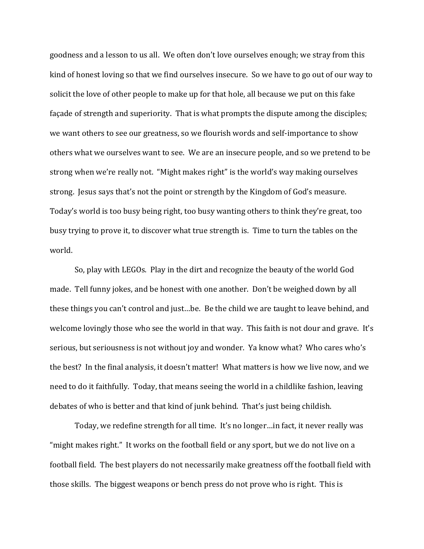goodness and a lesson to us all. We often don't love ourselves enough; we stray from this kind of honest loving so that we find ourselves insecure. So we have to go out of our way to solicit the love of other people to make up for that hole, all because we put on this fake façade of strength and superiority. That is what prompts the dispute among the disciples; we want others to see our greatness, so we flourish words and self-importance to show others what we ourselves want to see. We are an insecure people, and so we pretend to be strong when we're really not. "Might makes right" is the world's way making ourselves strong. Jesus says that's not the point or strength by the Kingdom of God's measure. Today's world is too busy being right, too busy wanting others to think they're great, too busy trying to prove it, to discover what true strength is. Time to turn the tables on the world.

So, play with LEGOs. Play in the dirt and recognize the beauty of the world God made. Tell funny jokes, and be honest with one another. Don't be weighed down by all these things you can't control and just…be. Be the child we are taught to leave behind, and welcome lovingly those who see the world in that way. This faith is not dour and grave. It's serious, but seriousness is not without joy and wonder. Ya know what? Who cares who's the best? In the final analysis, it doesn't matter! What matters is how we live now, and we need to do it faithfully. Today, that means seeing the world in a childlike fashion, leaving debates of who is better and that kind of junk behind. That's just being childish.

Today, we redefine strength for all time. It's no longer…in fact, it never really was "might makes right." It works on the football field or any sport, but we do not live on a football field. The best players do not necessarily make greatness off the football field with those skills. The biggest weapons or bench press do not prove who is right. This is